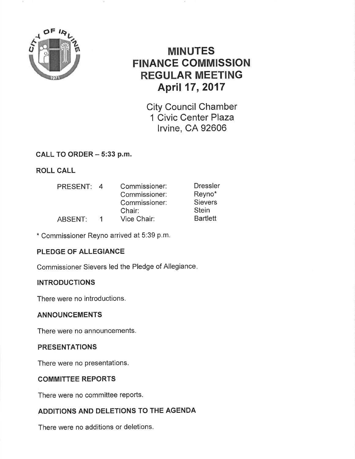

# MINUTES FINANCE GOMMISSION REGULAR MEETING April 17,2017

City Council Chamber 1 Civic Center Plaza lrvine, CA 92606

## CALL TO ORDER - 5:33 p.m.

ROLL CALL

| <b>PRESENT:</b> | $\overline{a}$ | Commissioner: | <b>Dressler</b> |
|-----------------|----------------|---------------|-----------------|
|                 |                | Commissioner: | Reyno*          |
|                 |                | Commissioner: | <b>Sievers</b>  |
|                 |                | Chair:        | <b>Stein</b>    |
| ABSENT:         | 1.             | Vice Chair:   | <b>Bartlett</b> |

\* Commissioner Reyno arrived at 5:39 p.m.

## PLEDGE OF ALLEGIANCE

Commissioner Sievers led the Pledge of Allegiance

### **INTRODUCTIONS**

There were no introductions,

### ANNOUNCEMENTS

There were no announcements.

### PRESENTATIONS

There were no presentations.

### COMMITTEE REPORTS

There were no committee reports.

# ADDITIONS AND DELETIONS TO THE AGENDA

There were no additions or deletions.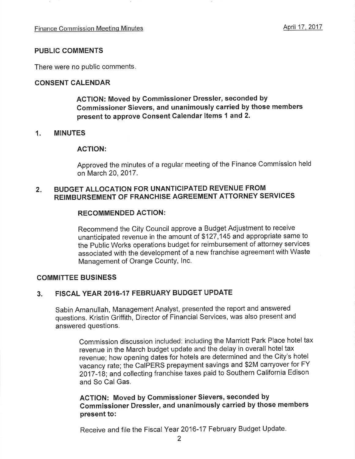#### PUBLIC COMMENTS

There were no public comments

#### CONSENT CALENDAR

ACTION: Moved by Commissioner Dressler, seconded by Gommissioner Sievers, and unanimously carried by those members present to approve Gonsent Calendar ltems 1 and 2.

#### 1. MINUTES

#### AGTION:

Approved the minutes of a regular meeting of the Finance Commission held on March 20,2017.

#### $2.$ BUDGET ALLOCATION FOR UNANTICIPATED REVENUE FROM REIMBURSEMENT OF FRANCHISE AGREEMENT ATTORNEY SERVICES

#### RECOMMENDED ACTION:

Recommend the City Council approve a Budget Adjustment to receive unanticipated revenue in the amount of \$127,145 and appropriate same to the Public Works operations budget for reimbursement of attorney services associated with the development of a new franchise agreement with Waste Management of Orange County, Inc.

#### COMMITTEE BUSINESS

### 3. FISCAL YEAR 2016.17 FEBRUARY BUDGET UPDATE

Sabin Amanullah, Management Analyst, presented the report and answered questions. Kristin Griffith, Director of Financial Services, was also present and answered questions.

Commission discussion included: including the Marriott Park Place hotel tax revenue in the March budget update and the delay in overall hotel tax revenue; how opening dates for hotels are determined and the City's hotel vacancy rate; the CaIPERS prepayment savings and \$2M carryover for FY 2017-18; and collecting franchise taxes paid to Southern California Edison and So Cal Gas.

### ACTION: Moved by Gommissioner Sievers, seconded by Commissioner Dressler, and unanimously carried by those members present to:

Receive and file the Fiscal Year 2016-17 February Budget Update.